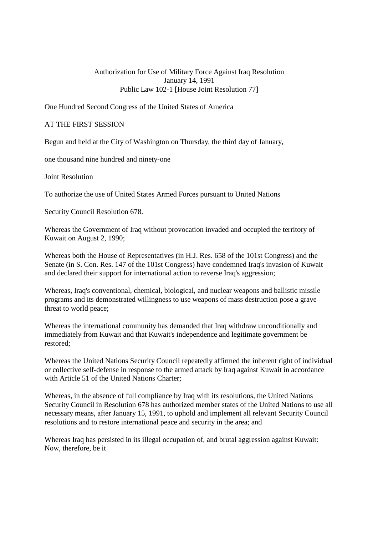## Authorization for Use of Military Force Against Iraq Resolution January 14, 1991 Public Law 102-1 [House Joint Resolution 77]

One Hundred Second Congress of the United States of America

## AT THE FIRST SESSION

Begun and held at the City of Washington on Thursday, the third day of January,

one thousand nine hundred and ninety-one

Joint Resolution

To authorize the use of United States Armed Forces pursuant to United Nations

Security Council Resolution 678.

Whereas the Government of Iraq without provocation invaded and occupied the territory of Kuwait on August 2, 1990;

Whereas both the House of Representatives (in H.J. Res. 658 of the 101st Congress) and the Senate (in S. Con. Res. 147 of the 101st Congress) have condemned Iraq's invasion of Kuwait and declared their support for international action to reverse Iraq's aggression;

Whereas, Iraq's conventional, chemical, biological, and nuclear weapons and ballistic missile programs and its demonstrated willingness to use weapons of mass destruction pose a grave threat to world peace;

Whereas the international community has demanded that Iraq withdraw unconditionally and immediately from Kuwait and that Kuwait's independence and legitimate government be restored;

Whereas the United Nations Security Council repeatedly affirmed the inherent right of individual or collective self-defense in response to the armed attack by Iraq against Kuwait in accordance with Article 51 of the United Nations Charter:

Whereas, in the absence of full compliance by Iraq with its resolutions, the United Nations Security Council in Resolution 678 has authorized member states of the United Nations to use all necessary means, after January 15, 1991, to uphold and implement all relevant Security Council resolutions and to restore international peace and security in the area; and

Whereas Iraq has persisted in its illegal occupation of, and brutal aggression against Kuwait: Now, therefore, be it